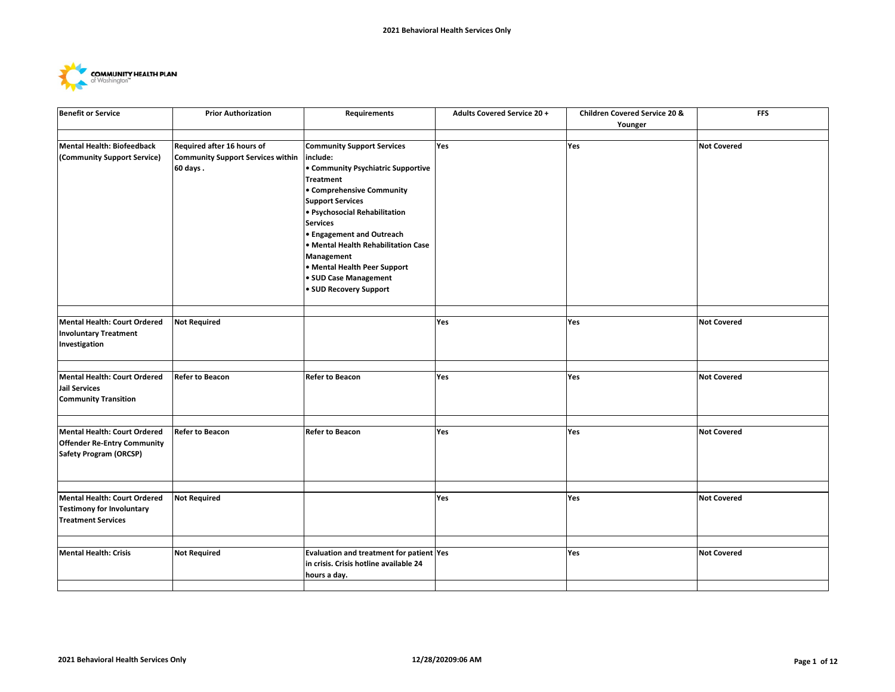

| <b>Benefit or Service</b>                                                                           | <b>Prior Authorization</b>                                             | Requirements                                                                                                                                                                                                                                                                                                                                   | <b>Adults Covered Service 20 +</b> | Children Covered Service 20 &<br>Younger | <b>FFS</b>         |
|-----------------------------------------------------------------------------------------------------|------------------------------------------------------------------------|------------------------------------------------------------------------------------------------------------------------------------------------------------------------------------------------------------------------------------------------------------------------------------------------------------------------------------------------|------------------------------------|------------------------------------------|--------------------|
| Mental Health: Biofeedback<br>(Community Support Service)                                           | Required after 16 hours of<br><b>Community Support Services within</b> | <b>Community Support Services</b><br>include:                                                                                                                                                                                                                                                                                                  | Yes                                | Yes                                      | <b>Not Covered</b> |
|                                                                                                     | 60 days.                                                               | • Community Psychiatric Supportive<br><b>Treatment</b><br>• Comprehensive Community<br><b>Support Services</b><br>· Psychosocial Rehabilitation<br><b>Services</b><br><b>• Engagement and Outreach</b><br>· Mental Health Rehabilitation Case<br>Management<br>• Mental Health Peer Support<br>• SUD Case Management<br>· SUD Recovery Support |                                    |                                          |                    |
| Mental Health: Court Ordered<br><b>Involuntary Treatment</b><br>Investigation                       | <b>Not Required</b>                                                    |                                                                                                                                                                                                                                                                                                                                                | Yes                                | Yes                                      | <b>Not Covered</b> |
| Mental Health: Court Ordered<br>Jail Services<br><b>Community Transition</b>                        | <b>Refer to Beacon</b>                                                 | <b>Refer to Beacon</b>                                                                                                                                                                                                                                                                                                                         | <b>Yes</b>                         | Yes                                      | <b>Not Covered</b> |
| Mental Health: Court Ordered<br><b>Offender Re-Entry Community</b><br><b>Safety Program (ORCSP)</b> | <b>Refer to Beacon</b>                                                 | <b>Refer to Beacon</b>                                                                                                                                                                                                                                                                                                                         | Yes                                | Yes                                      | <b>Not Covered</b> |
| Mental Health: Court Ordered<br><b>Testimony for Involuntary</b><br><b>Treatment Services</b>       | <b>Not Required</b>                                                    |                                                                                                                                                                                                                                                                                                                                                | Yes                                | Yes                                      | <b>Not Covered</b> |
| <b>Mental Health: Crisis</b>                                                                        | <b>Not Required</b>                                                    | Evaluation and treatment for patient Yes<br>in crisis. Crisis hotline available 24<br>hours a day.                                                                                                                                                                                                                                             |                                    | Yes                                      | <b>Not Covered</b> |
|                                                                                                     |                                                                        |                                                                                                                                                                                                                                                                                                                                                |                                    |                                          |                    |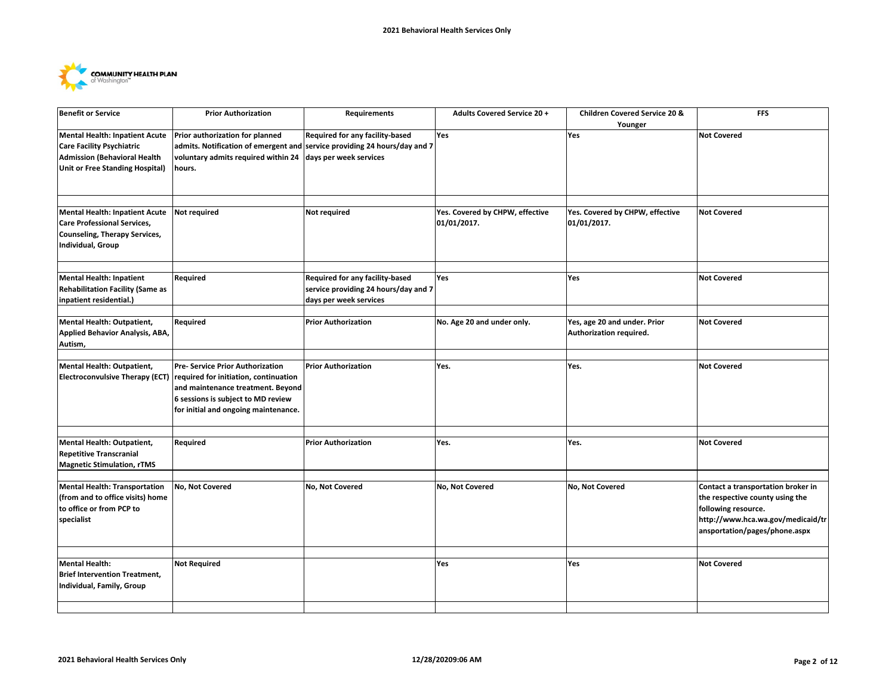

| <b>Benefit or Service</b>                                                                                                                           | <b>Prior Authorization</b>                                                                                                                                                                                                   | <b>Requirements</b>                                                                               | <b>Adults Covered Service 20 +</b>             | Children Covered Service 20 &<br>Younger                | <b>FFS</b>                                                                                                                                                         |
|-----------------------------------------------------------------------------------------------------------------------------------------------------|------------------------------------------------------------------------------------------------------------------------------------------------------------------------------------------------------------------------------|---------------------------------------------------------------------------------------------------|------------------------------------------------|---------------------------------------------------------|--------------------------------------------------------------------------------------------------------------------------------------------------------------------|
| Mental Health: Inpatient Acute<br><b>Care Facility Psychiatric</b><br><b>Admission (Behavioral Health</b><br><b>Unit or Free Standing Hospital)</b> | Prior authorization for planned<br>admits. Notification of emergent and service providing 24 hours/day and 7<br>voluntary admits required within 24<br>hours.                                                                | Required for any facility-based<br>days per week services                                         | Yes                                            | Yes                                                     | <b>Not Covered</b>                                                                                                                                                 |
| <b>Mental Health: Inpatient Acute</b><br><b>Care Professional Services,</b><br>Counseling, Therapy Services,<br>Individual, Group                   | Not required                                                                                                                                                                                                                 | Not required                                                                                      | Yes. Covered by CHPW, effective<br>01/01/2017. | Yes. Covered by CHPW, effective<br>01/01/2017.          | <b>Not Covered</b>                                                                                                                                                 |
| Mental Health: Inpatient<br>Rehabilitation Facility (Same as<br>inpatient residential.)                                                             | Required                                                                                                                                                                                                                     | Required for any facility-based<br>service providing 24 hours/day and 7<br>days per week services | Yes                                            | Yes                                                     | <b>Not Covered</b>                                                                                                                                                 |
| Mental Health: Outpatient,<br>Applied Behavior Analysis, ABA,<br>Autism,                                                                            | Required                                                                                                                                                                                                                     | <b>Prior Authorization</b>                                                                        | No. Age 20 and under only.                     | Yes, age 20 and under. Prior<br>Authorization required. | <b>Not Covered</b>                                                                                                                                                 |
| <b>Mental Health: Outpatient,</b>                                                                                                                   | Pre- Service Prior Authorization<br>Electroconvulsive Therapy (ECT) required for initiation, continuation<br>and maintenance treatment. Beyond<br>6 sessions is subject to MD review<br>for initial and ongoing maintenance. | <b>Prior Authorization</b>                                                                        | Yes.                                           | Yes.                                                    | <b>Not Covered</b>                                                                                                                                                 |
| Mental Health: Outpatient,<br><b>Repetitive Transcranial</b><br><b>Magnetic Stimulation, rTMS</b>                                                   | Required                                                                                                                                                                                                                     | <b>Prior Authorization</b>                                                                        | Yes.                                           | Yes.                                                    | <b>Not Covered</b>                                                                                                                                                 |
| Mental Health: Transportation<br>(from and to office visits) home<br>to office or from PCP to<br>specialist                                         | No, Not Covered                                                                                                                                                                                                              | No, Not Covered                                                                                   | No, Not Covered                                | No, Not Covered                                         | Contact a transportation broker in<br>the respective county using the<br>following resource.<br>http://www.hca.wa.gov/medicaid/tr<br>ansportation/pages/phone.aspx |
| Mental Health:<br><b>Brief Intervention Treatment,</b><br>Individual, Family, Group                                                                 | <b>Not Required</b>                                                                                                                                                                                                          |                                                                                                   | Yes                                            | Yes                                                     | <b>Not Covered</b>                                                                                                                                                 |
|                                                                                                                                                     |                                                                                                                                                                                                                              |                                                                                                   |                                                |                                                         |                                                                                                                                                                    |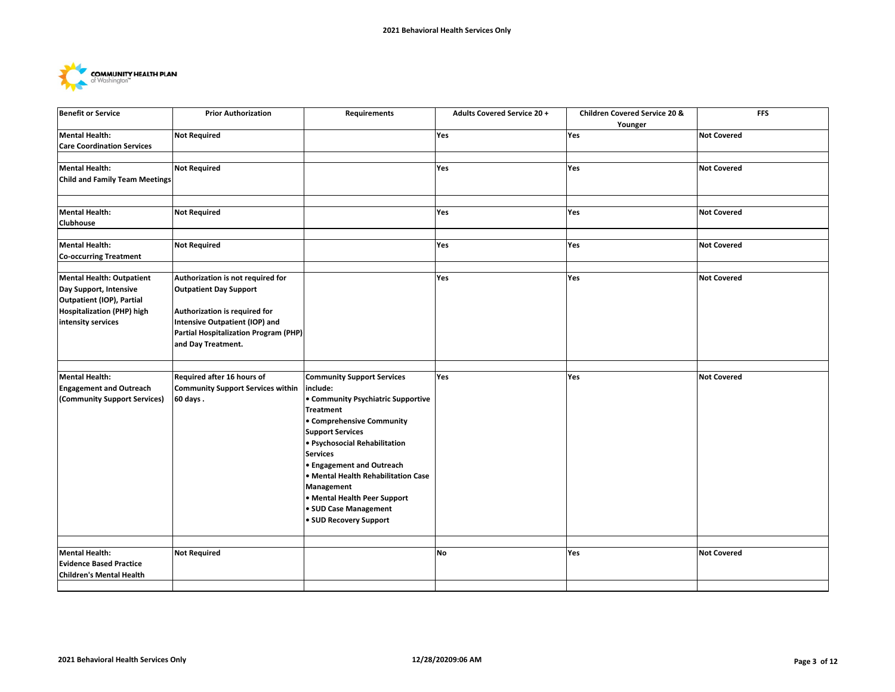

| <b>Benefit or Service</b>                                                                                                                   | <b>Prior Authorization</b>                                                                                                                                                                                  | Requirements                                                                                                                                                                                                                                                                                                                                                                                           | <b>Adults Covered Service 20 +</b> | <b>Children Covered Service 20 &amp;</b><br>Younger | <b>FFS</b>         |
|---------------------------------------------------------------------------------------------------------------------------------------------|-------------------------------------------------------------------------------------------------------------------------------------------------------------------------------------------------------------|--------------------------------------------------------------------------------------------------------------------------------------------------------------------------------------------------------------------------------------------------------------------------------------------------------------------------------------------------------------------------------------------------------|------------------------------------|-----------------------------------------------------|--------------------|
| <b>Mental Health:</b><br><b>Care Coordination Services</b>                                                                                  | <b>Not Required</b>                                                                                                                                                                                         |                                                                                                                                                                                                                                                                                                                                                                                                        | Yes                                | Yes                                                 | <b>Not Covered</b> |
| <b>Mental Health:</b>                                                                                                                       | <b>Not Required</b>                                                                                                                                                                                         |                                                                                                                                                                                                                                                                                                                                                                                                        | Yes                                | Yes                                                 | <b>Not Covered</b> |
| <b>Child and Family Team Meetings</b>                                                                                                       |                                                                                                                                                                                                             |                                                                                                                                                                                                                                                                                                                                                                                                        |                                    |                                                     |                    |
| <b>Mental Health:</b><br>Clubhouse                                                                                                          | <b>Not Required</b>                                                                                                                                                                                         |                                                                                                                                                                                                                                                                                                                                                                                                        | Yes                                | Yes                                                 | <b>Not Covered</b> |
| <b>Mental Health:</b><br><b>Co-occurring Treatment</b>                                                                                      | <b>Not Required</b>                                                                                                                                                                                         |                                                                                                                                                                                                                                                                                                                                                                                                        | Yes                                | Yes                                                 | <b>Not Covered</b> |
| <b>Mental Health: Outpatient</b><br>Day Support, Intensive<br>Outpatient (IOP), Partial<br>Hospitalization (PHP) high<br>intensity services | Authorization is not required for<br><b>Outpatient Day Support</b><br>Authorization is required for<br><b>Intensive Outpatient (IOP) and</b><br>Partial Hospitalization Program (PHP)<br>and Day Treatment. |                                                                                                                                                                                                                                                                                                                                                                                                        | Yes                                | Yes                                                 | <b>Not Covered</b> |
| <b>Mental Health:</b><br><b>Engagement and Outreach</b><br>(Community Support Services)                                                     | Required after 16 hours of<br><b>Community Support Services within</b><br>60 days.                                                                                                                          | <b>Community Support Services</b><br>include:<br><b>• Community Psychiatric Supportive</b><br><b>Treatment</b><br>• Comprehensive Community<br><b>Support Services</b><br>· Psychosocial Rehabilitation<br><b>Services</b><br><b>• Engagement and Outreach</b><br>• Mental Health Rehabilitation Case<br>Management<br>• Mental Health Peer Support<br>· SUD Case Management<br>• SUD Recovery Support | Yes                                | Yes                                                 | <b>Not Covered</b> |
| <b>Mental Health:</b><br><b>Evidence Based Practice</b><br><b>Children's Mental Health</b>                                                  | <b>Not Required</b>                                                                                                                                                                                         |                                                                                                                                                                                                                                                                                                                                                                                                        | No                                 | Yes                                                 | <b>Not Covered</b> |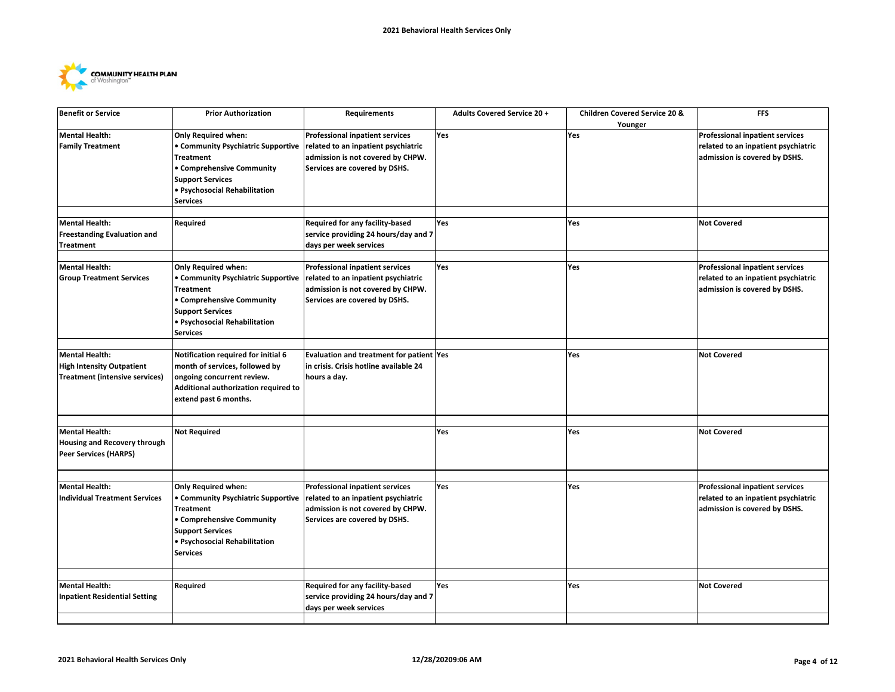

| <b>Professional inpatient services</b><br><b>Mental Health:</b><br>Only Required when:<br><b>Professional inpatient services</b><br>Yes<br>Yes<br><b>Family Treatment</b><br>• Community Psychiatric Supportive<br>related to an inpatient psychiatric<br>related to an inpatient psychiatric<br>admission is not covered by CHPW.<br>admission is covered by DSHS.<br><b>Treatment</b><br>• Comprehensive Community<br>Services are covered by DSHS.<br><b>Support Services</b><br>· Psychosocial Rehabilitation<br><b>Services</b><br><b>Mental Health:</b><br>Required<br>Required for any facility-based<br>Yes<br><b>Not Covered</b><br>Yes<br><b>Freestanding Evaluation and</b><br>service providing 24 hours/day and 7<br>days per week services<br><b>Treatment</b><br><b>Mental Health:</b><br>Only Required when:<br><b>Professional inpatient services</b><br>Yes<br>Yes<br><b>Professional inpatient services</b><br>• Community Psychiatric Supportive<br>related to an inpatient psychiatric<br>related to an inpatient psychiatric<br><b>Group Treatment Services</b><br>admission is not covered by CHPW.<br><b>Treatment</b><br>admission is covered by DSHS.<br>• Comprehensive Community<br>Services are covered by DSHS.<br><b>Support Services</b><br>· Psychosocial Rehabilitation<br><b>Services</b><br><b>Mental Health:</b><br>Notification required for initial 6<br>Evaluation and treatment for patient Yes<br>Yes<br><b>Not Covered</b><br><b>High Intensity Outpatient</b><br>month of services, followed by<br>in crisis. Crisis hotline available 24<br><b>Treatment (intensive services)</b><br>ongoing concurrent review.<br>hours a day.<br>Additional authorization required to<br>extend past 6 months.<br><b>Mental Health:</b><br><b>Not Required</b><br>Yes<br>Yes<br><b>Not Covered</b><br>Housing and Recovery through<br>Peer Services (HARPS)<br><b>Mental Health:</b><br>Only Required when:<br><b>Professional inpatient services</b><br>Yes<br><b>Professional inpatient services</b><br>Yes<br><b>Individual Treatment Services</b><br>• Community Psychiatric Supportive<br>related to an inpatient psychiatric<br>related to an inpatient psychiatric<br><b>Treatment</b><br>admission is not covered by CHPW.<br>admission is covered by DSHS.<br>• Comprehensive Community<br>Services are covered by DSHS.<br><b>Support Services</b><br>· Psychosocial Rehabilitation<br><b>Services</b><br><b>Mental Health:</b><br>Required<br>Required for any facility-based<br><b>Not Covered</b><br>Yes<br>Yes<br>service providing 24 hours/day and 7<br><b>Inpatient Residential Setting</b><br>days per week services | <b>Benefit or Service</b> | <b>Prior Authorization</b> | <b>Requirements</b> | <b>Adults Covered Service 20 +</b> | <b>Children Covered Service 20 &amp;</b> | <b>FFS</b> |
|-----------------------------------------------------------------------------------------------------------------------------------------------------------------------------------------------------------------------------------------------------------------------------------------------------------------------------------------------------------------------------------------------------------------------------------------------------------------------------------------------------------------------------------------------------------------------------------------------------------------------------------------------------------------------------------------------------------------------------------------------------------------------------------------------------------------------------------------------------------------------------------------------------------------------------------------------------------------------------------------------------------------------------------------------------------------------------------------------------------------------------------------------------------------------------------------------------------------------------------------------------------------------------------------------------------------------------------------------------------------------------------------------------------------------------------------------------------------------------------------------------------------------------------------------------------------------------------------------------------------------------------------------------------------------------------------------------------------------------------------------------------------------------------------------------------------------------------------------------------------------------------------------------------------------------------------------------------------------------------------------------------------------------------------------------------------------------------------------------------------------------------------------------------------------------------------------------------------------------------------------------------------------------------------------------------------------------------------------------------------------------------------------------------------------------------------------------------------------------------------------------------------------------------------------------------------------------------------------------------------------------------------------------------------------|---------------------------|----------------------------|---------------------|------------------------------------|------------------------------------------|------------|
|                                                                                                                                                                                                                                                                                                                                                                                                                                                                                                                                                                                                                                                                                                                                                                                                                                                                                                                                                                                                                                                                                                                                                                                                                                                                                                                                                                                                                                                                                                                                                                                                                                                                                                                                                                                                                                                                                                                                                                                                                                                                                                                                                                                                                                                                                                                                                                                                                                                                                                                                                                                                                                                                       |                           |                            |                     |                                    | Younger                                  |            |
|                                                                                                                                                                                                                                                                                                                                                                                                                                                                                                                                                                                                                                                                                                                                                                                                                                                                                                                                                                                                                                                                                                                                                                                                                                                                                                                                                                                                                                                                                                                                                                                                                                                                                                                                                                                                                                                                                                                                                                                                                                                                                                                                                                                                                                                                                                                                                                                                                                                                                                                                                                                                                                                                       |                           |                            |                     |                                    |                                          |            |
|                                                                                                                                                                                                                                                                                                                                                                                                                                                                                                                                                                                                                                                                                                                                                                                                                                                                                                                                                                                                                                                                                                                                                                                                                                                                                                                                                                                                                                                                                                                                                                                                                                                                                                                                                                                                                                                                                                                                                                                                                                                                                                                                                                                                                                                                                                                                                                                                                                                                                                                                                                                                                                                                       |                           |                            |                     |                                    |                                          |            |
|                                                                                                                                                                                                                                                                                                                                                                                                                                                                                                                                                                                                                                                                                                                                                                                                                                                                                                                                                                                                                                                                                                                                                                                                                                                                                                                                                                                                                                                                                                                                                                                                                                                                                                                                                                                                                                                                                                                                                                                                                                                                                                                                                                                                                                                                                                                                                                                                                                                                                                                                                                                                                                                                       |                           |                            |                     |                                    |                                          |            |
|                                                                                                                                                                                                                                                                                                                                                                                                                                                                                                                                                                                                                                                                                                                                                                                                                                                                                                                                                                                                                                                                                                                                                                                                                                                                                                                                                                                                                                                                                                                                                                                                                                                                                                                                                                                                                                                                                                                                                                                                                                                                                                                                                                                                                                                                                                                                                                                                                                                                                                                                                                                                                                                                       |                           |                            |                     |                                    |                                          |            |
|                                                                                                                                                                                                                                                                                                                                                                                                                                                                                                                                                                                                                                                                                                                                                                                                                                                                                                                                                                                                                                                                                                                                                                                                                                                                                                                                                                                                                                                                                                                                                                                                                                                                                                                                                                                                                                                                                                                                                                                                                                                                                                                                                                                                                                                                                                                                                                                                                                                                                                                                                                                                                                                                       |                           |                            |                     |                                    |                                          |            |
|                                                                                                                                                                                                                                                                                                                                                                                                                                                                                                                                                                                                                                                                                                                                                                                                                                                                                                                                                                                                                                                                                                                                                                                                                                                                                                                                                                                                                                                                                                                                                                                                                                                                                                                                                                                                                                                                                                                                                                                                                                                                                                                                                                                                                                                                                                                                                                                                                                                                                                                                                                                                                                                                       |                           |                            |                     |                                    |                                          |            |
|                                                                                                                                                                                                                                                                                                                                                                                                                                                                                                                                                                                                                                                                                                                                                                                                                                                                                                                                                                                                                                                                                                                                                                                                                                                                                                                                                                                                                                                                                                                                                                                                                                                                                                                                                                                                                                                                                                                                                                                                                                                                                                                                                                                                                                                                                                                                                                                                                                                                                                                                                                                                                                                                       |                           |                            |                     |                                    |                                          |            |
|                                                                                                                                                                                                                                                                                                                                                                                                                                                                                                                                                                                                                                                                                                                                                                                                                                                                                                                                                                                                                                                                                                                                                                                                                                                                                                                                                                                                                                                                                                                                                                                                                                                                                                                                                                                                                                                                                                                                                                                                                                                                                                                                                                                                                                                                                                                                                                                                                                                                                                                                                                                                                                                                       |                           |                            |                     |                                    |                                          |            |
|                                                                                                                                                                                                                                                                                                                                                                                                                                                                                                                                                                                                                                                                                                                                                                                                                                                                                                                                                                                                                                                                                                                                                                                                                                                                                                                                                                                                                                                                                                                                                                                                                                                                                                                                                                                                                                                                                                                                                                                                                                                                                                                                                                                                                                                                                                                                                                                                                                                                                                                                                                                                                                                                       |                           |                            |                     |                                    |                                          |            |
|                                                                                                                                                                                                                                                                                                                                                                                                                                                                                                                                                                                                                                                                                                                                                                                                                                                                                                                                                                                                                                                                                                                                                                                                                                                                                                                                                                                                                                                                                                                                                                                                                                                                                                                                                                                                                                                                                                                                                                                                                                                                                                                                                                                                                                                                                                                                                                                                                                                                                                                                                                                                                                                                       |                           |                            |                     |                                    |                                          |            |
|                                                                                                                                                                                                                                                                                                                                                                                                                                                                                                                                                                                                                                                                                                                                                                                                                                                                                                                                                                                                                                                                                                                                                                                                                                                                                                                                                                                                                                                                                                                                                                                                                                                                                                                                                                                                                                                                                                                                                                                                                                                                                                                                                                                                                                                                                                                                                                                                                                                                                                                                                                                                                                                                       |                           |                            |                     |                                    |                                          |            |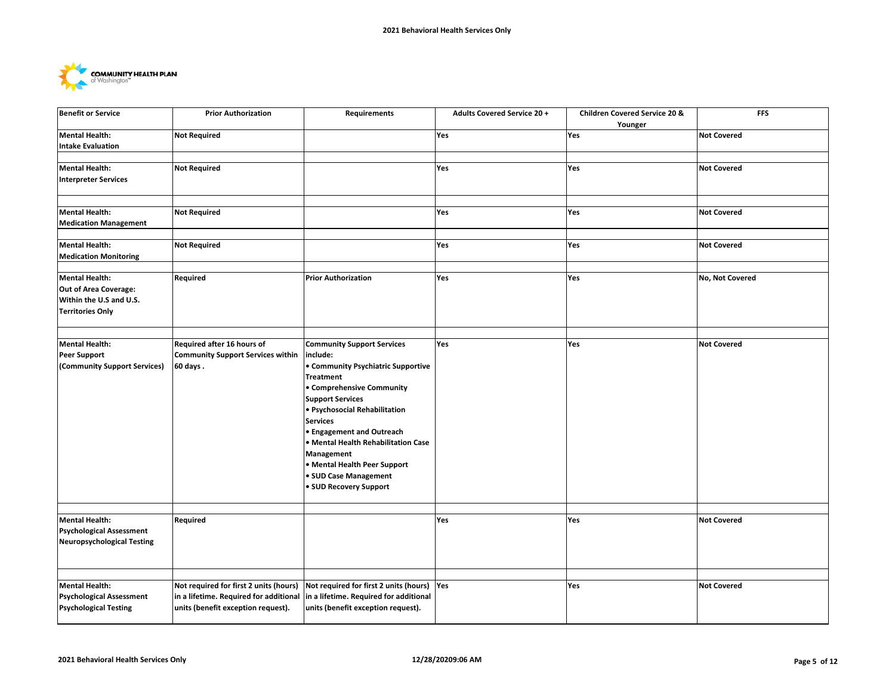

| <b>Benefit or Service</b>                                                                     | <b>Prior Authorization</b>                                                                                             | Requirements                                                                                                                                                                                                                                                                                                                                                                                    | <b>Adults Covered Service 20 +</b> | <b>Children Covered Service 20 &amp;</b><br>Younger | <b>FFS</b>         |
|-----------------------------------------------------------------------------------------------|------------------------------------------------------------------------------------------------------------------------|-------------------------------------------------------------------------------------------------------------------------------------------------------------------------------------------------------------------------------------------------------------------------------------------------------------------------------------------------------------------------------------------------|------------------------------------|-----------------------------------------------------|--------------------|
| Mental Health:<br>Intake Evaluation                                                           | <b>Not Required</b>                                                                                                    |                                                                                                                                                                                                                                                                                                                                                                                                 | Yes                                | Yes                                                 | <b>Not Covered</b> |
| <b>Mental Health:</b><br><b>Interpreter Services</b>                                          | <b>Not Required</b>                                                                                                    |                                                                                                                                                                                                                                                                                                                                                                                                 | Yes                                | Yes                                                 | <b>Not Covered</b> |
| <b>Mental Health:</b><br><b>Medication Management</b>                                         | <b>Not Required</b>                                                                                                    |                                                                                                                                                                                                                                                                                                                                                                                                 | Yes                                | Yes                                                 | <b>Not Covered</b> |
| <b>Mental Health:</b>                                                                         | <b>Not Required</b>                                                                                                    |                                                                                                                                                                                                                                                                                                                                                                                                 | Yes                                | Yes                                                 | <b>Not Covered</b> |
| <b>Medication Monitoring</b><br><b>Mental Health:</b>                                         | Required                                                                                                               | <b>Prior Authorization</b>                                                                                                                                                                                                                                                                                                                                                                      | Yes                                | Yes                                                 | No, Not Covered    |
| Out of Area Coverage:<br>Within the U.S and U.S.<br><b>Territories Only</b>                   |                                                                                                                        |                                                                                                                                                                                                                                                                                                                                                                                                 |                                    |                                                     |                    |
| <b>Mental Health:</b><br><b>Peer Support</b><br>(Community Support Services)                  | Required after 16 hours of<br><b>Community Support Services within</b><br>60 days.                                     | <b>Community Support Services</b><br>include:<br>• Community Psychiatric Supportive<br><b>Treatment</b><br>• Comprehensive Community<br><b>Support Services</b><br>· Psychosocial Rehabilitation<br><b>Services</b><br><b>• Engagement and Outreach</b><br>• Mental Health Rehabilitation Case<br>Management<br>• Mental Health Peer Support<br>• SUD Case Management<br>· SUD Recovery Support | Yes                                | Yes                                                 | <b>Not Covered</b> |
| <b>Mental Health:</b><br><b>Psychological Assessment</b><br><b>Neuropsychological Testing</b> | Required                                                                                                               |                                                                                                                                                                                                                                                                                                                                                                                                 | <b>Yes</b>                         | Yes                                                 | <b>Not Covered</b> |
| <b>Mental Health:</b><br><b>Psychological Assessment</b><br><b>Psychological Testing</b>      | Not required for first 2 units (hours)<br>in a lifetime. Required for additional<br>units (benefit exception request). | Not required for first 2 units (hours)<br>in a lifetime. Required for additional<br>units (benefit exception request).                                                                                                                                                                                                                                                                          | Yes                                | Yes                                                 | <b>Not Covered</b> |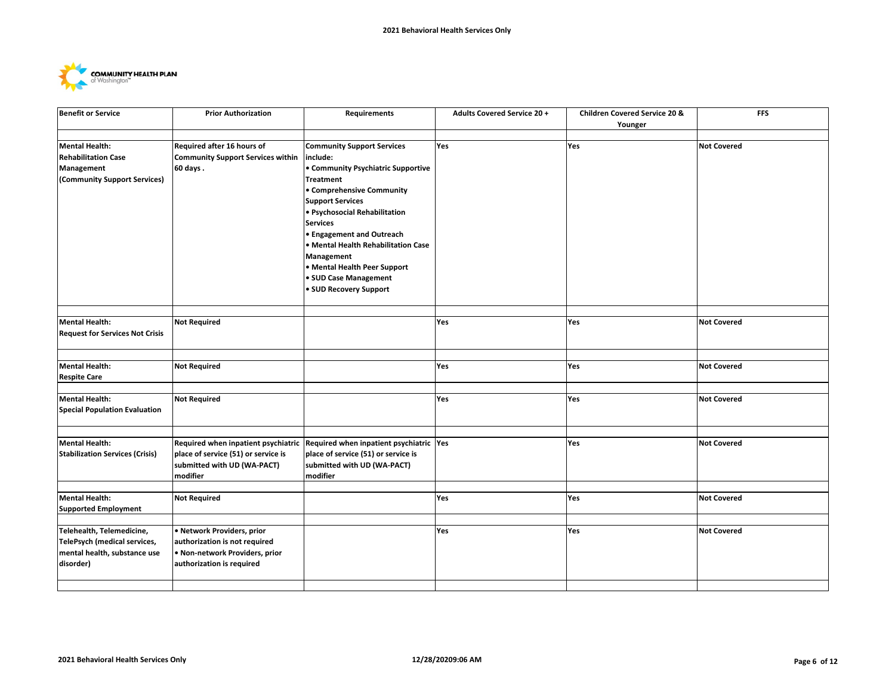

| <b>Benefit or Service</b>                                                                         | <b>Prior Authorization</b>                                                                                            | Requirements                                                                                                                                                                                                                                                                                                                                                                                    | <b>Adults Covered Service 20 +</b> | Children Covered Service 20 &<br>Younger | <b>FFS</b>         |
|---------------------------------------------------------------------------------------------------|-----------------------------------------------------------------------------------------------------------------------|-------------------------------------------------------------------------------------------------------------------------------------------------------------------------------------------------------------------------------------------------------------------------------------------------------------------------------------------------------------------------------------------------|------------------------------------|------------------------------------------|--------------------|
|                                                                                                   |                                                                                                                       |                                                                                                                                                                                                                                                                                                                                                                                                 |                                    |                                          |                    |
| <b>Mental Health:</b><br><b>Rehabilitation Case</b><br>Management<br>(Community Support Services) | Required after 16 hours of<br><b>Community Support Services within</b><br>60 days.                                    | <b>Community Support Services</b><br>include:<br>• Community Psychiatric Supportive<br><b>Treatment</b><br>• Comprehensive Community<br><b>Support Services</b><br>· Psychosocial Rehabilitation<br><b>Services</b><br><b>• Engagement and Outreach</b><br>· Mental Health Rehabilitation Case<br>Management<br>• Mental Health Peer Support<br>• SUD Case Management<br>• SUD Recovery Support | Yes                                | Yes                                      | <b>Not Covered</b> |
|                                                                                                   |                                                                                                                       |                                                                                                                                                                                                                                                                                                                                                                                                 |                                    |                                          |                    |
| <b>Mental Health:</b><br><b>Request for Services Not Crisis</b>                                   | <b>Not Required</b>                                                                                                   |                                                                                                                                                                                                                                                                                                                                                                                                 | Yes                                | Yes                                      | <b>Not Covered</b> |
|                                                                                                   |                                                                                                                       |                                                                                                                                                                                                                                                                                                                                                                                                 |                                    |                                          |                    |
| Mental Health:<br><b>Respite Care</b>                                                             | <b>Not Required</b>                                                                                                   |                                                                                                                                                                                                                                                                                                                                                                                                 | Yes                                | Yes                                      | <b>Not Covered</b> |
|                                                                                                   |                                                                                                                       |                                                                                                                                                                                                                                                                                                                                                                                                 |                                    |                                          |                    |
| Mental Health:<br><b>Special Population Evaluation</b>                                            | <b>Not Required</b>                                                                                                   |                                                                                                                                                                                                                                                                                                                                                                                                 | Yes                                | Yes                                      | <b>Not Covered</b> |
|                                                                                                   |                                                                                                                       |                                                                                                                                                                                                                                                                                                                                                                                                 |                                    |                                          |                    |
| <b>Mental Health:</b><br><b>Stabilization Services (Crisis)</b>                                   | Required when inpatient psychiatric<br>place of service (51) or service is<br>submitted with UD (WA-PACT)<br>modifier | Required when inpatient psychiatric Yes<br>place of service (51) or service is<br>submitted with UD (WA-PACT)<br>modifier                                                                                                                                                                                                                                                                       |                                    | Yes                                      | <b>Not Covered</b> |
|                                                                                                   |                                                                                                                       |                                                                                                                                                                                                                                                                                                                                                                                                 |                                    |                                          |                    |
| Mental Health:<br><b>Supported Employment</b>                                                     | <b>Not Required</b>                                                                                                   |                                                                                                                                                                                                                                                                                                                                                                                                 | Yes                                | Yes                                      | <b>Not Covered</b> |
| Telehealth, Telemedicine,                                                                         | · Network Providers, prior                                                                                            |                                                                                                                                                                                                                                                                                                                                                                                                 |                                    | Yes                                      | <b>Not Covered</b> |
| TelePsych (medical services,<br>mental health, substance use<br>disorder)                         | authorization is not required<br>. Non-network Providers, prior<br>authorization is required                          |                                                                                                                                                                                                                                                                                                                                                                                                 | Yes                                |                                          |                    |
|                                                                                                   |                                                                                                                       |                                                                                                                                                                                                                                                                                                                                                                                                 |                                    |                                          |                    |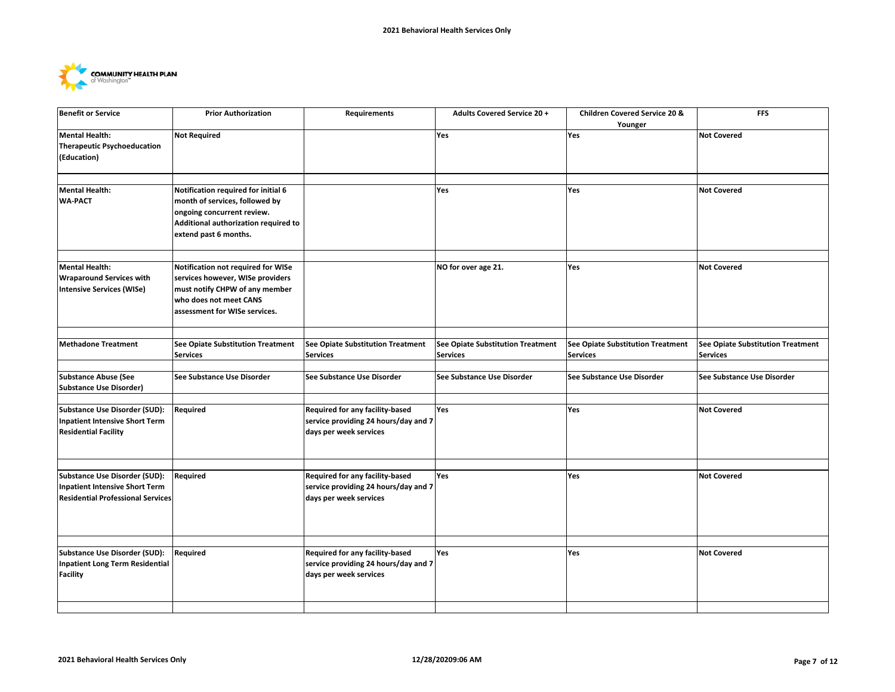

| <b>Benefit or Service</b>                                                                                          | <b>Prior Authorization</b>                                                                                                                                           | Requirements                                                                                      | <b>Adults Covered Service 20 +</b>                          | Children Covered Service 20 &<br>Younger             | <b>FFS</b>                                           |
|--------------------------------------------------------------------------------------------------------------------|----------------------------------------------------------------------------------------------------------------------------------------------------------------------|---------------------------------------------------------------------------------------------------|-------------------------------------------------------------|------------------------------------------------------|------------------------------------------------------|
| <b>Mental Health:</b><br><b>Therapeutic Psychoeducation</b><br>(Education)                                         | <b>Not Required</b>                                                                                                                                                  |                                                                                                   | Yes                                                         | Yes                                                  | <b>Not Covered</b>                                   |
|                                                                                                                    |                                                                                                                                                                      |                                                                                                   |                                                             |                                                      |                                                      |
| <b>Mental Health:</b><br><b>WA-PACT</b>                                                                            | Notification required for initial 6<br>month of services, followed by<br>ongoing concurrent review.<br>Additional authorization required to<br>extend past 6 months. |                                                                                                   | Yes                                                         | Yes                                                  | <b>Not Covered</b>                                   |
| <b>Mental Health:</b>                                                                                              | Notification not required for WISe                                                                                                                                   |                                                                                                   | NO for over age 21.                                         | Yes                                                  | <b>Not Covered</b>                                   |
| <b>Wraparound Services with</b>                                                                                    | services however, WISe providers                                                                                                                                     |                                                                                                   |                                                             |                                                      |                                                      |
| <b>Intensive Services (WISe)</b>                                                                                   | must notify CHPW of any member<br>who does not meet CANS<br>assessment for WISe services.                                                                            |                                                                                                   |                                                             |                                                      |                                                      |
|                                                                                                                    |                                                                                                                                                                      |                                                                                                   |                                                             |                                                      |                                                      |
| <b>Methadone Treatment</b>                                                                                         | See Opiate Substitution Treatment<br><b>Services</b>                                                                                                                 | <b>See Opiate Substitution Treatment</b><br><b>Services</b>                                       | <b>See Opiate Substitution Treatment</b><br><b>Services</b> | See Opiate Substitution Treatment<br><b>Services</b> | See Opiate Substitution Treatment<br><b>Services</b> |
|                                                                                                                    |                                                                                                                                                                      |                                                                                                   |                                                             |                                                      |                                                      |
| <b>Substance Abuse (See</b><br><b>Substance Use Disorder)</b>                                                      | See Substance Use Disorder                                                                                                                                           | See Substance Use Disorder                                                                        | See Substance Use Disorder                                  | See Substance Use Disorder                           | See Substance Use Disorder                           |
|                                                                                                                    |                                                                                                                                                                      |                                                                                                   |                                                             |                                                      |                                                      |
| Substance Use Disorder (SUD):<br><b>Inpatient Intensive Short Term</b><br><b>Residential Facility</b>              | Required                                                                                                                                                             | Required for any facility-based<br>service providing 24 hours/day and 7<br>days per week services | Yes                                                         | Yes                                                  | <b>Not Covered</b>                                   |
|                                                                                                                    |                                                                                                                                                                      |                                                                                                   |                                                             |                                                      |                                                      |
| <b>Substance Use Disorder (SUD):</b><br>Inpatient Intensive Short Term<br><b>Residential Professional Services</b> | Required                                                                                                                                                             | Required for any facility-based<br>service providing 24 hours/day and 7<br>days per week services | Yes                                                         | Yes                                                  | <b>Not Covered</b>                                   |
|                                                                                                                    |                                                                                                                                                                      |                                                                                                   |                                                             |                                                      |                                                      |
| Substance Use Disorder (SUD):<br>Inpatient Long Term Residential<br><b>Facility</b>                                | Required                                                                                                                                                             | Required for any facility-based<br>service providing 24 hours/day and 7<br>days per week services | Yes                                                         | Yes                                                  | <b>Not Covered</b>                                   |
|                                                                                                                    |                                                                                                                                                                      |                                                                                                   |                                                             |                                                      |                                                      |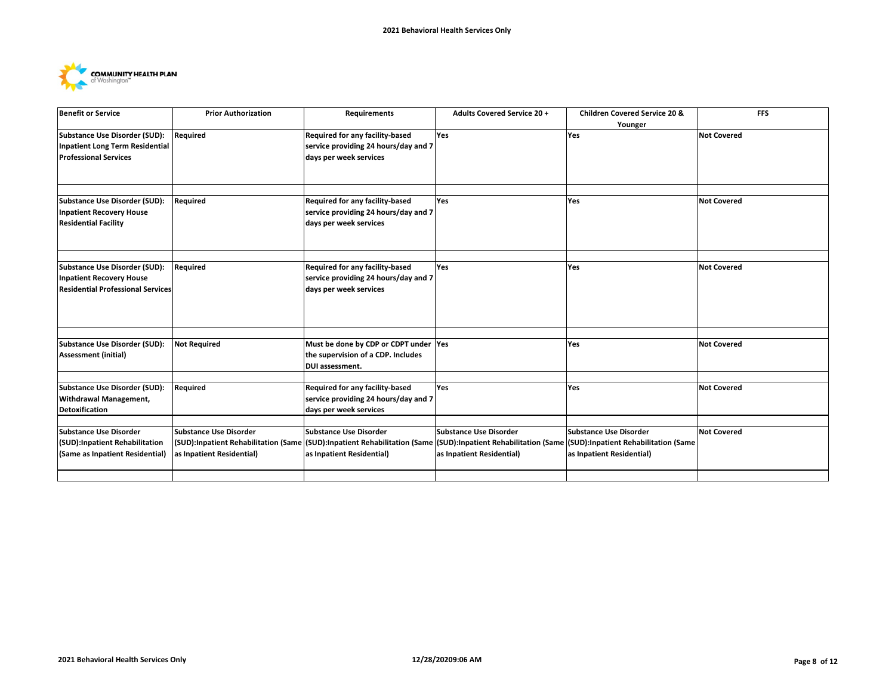

| <b>Benefit or Service</b>                | <b>Prior Authorization</b>    | Requirements                                                                                                   | <b>Adults Covered Service 20 +</b> | <b>Children Covered Service 20 &amp;</b> | <b>FFS</b>         |
|------------------------------------------|-------------------------------|----------------------------------------------------------------------------------------------------------------|------------------------------------|------------------------------------------|--------------------|
|                                          |                               |                                                                                                                |                                    | Younger                                  |                    |
| Substance Use Disorder (SUD):            | Required                      | Required for any facility-based                                                                                | Yes                                | Yes                                      | <b>Not Covered</b> |
| Inpatient Long Term Residential          |                               | service providing 24 hours/day and 7                                                                           |                                    |                                          |                    |
| <b>Professional Services</b>             |                               | days per week services                                                                                         |                                    |                                          |                    |
|                                          |                               |                                                                                                                |                                    |                                          |                    |
|                                          |                               |                                                                                                                |                                    |                                          |                    |
|                                          |                               |                                                                                                                |                                    |                                          |                    |
| Substance Use Disorder (SUD):            | Required                      | Required for any facility-based                                                                                | Yes                                | <b>Yes</b>                               | <b>Not Covered</b> |
| <b>Inpatient Recovery House</b>          |                               | service providing 24 hours/day and 7                                                                           |                                    |                                          |                    |
| <b>Residential Facility</b>              |                               | days per week services                                                                                         |                                    |                                          |                    |
|                                          |                               |                                                                                                                |                                    |                                          |                    |
|                                          |                               |                                                                                                                |                                    |                                          |                    |
|                                          |                               |                                                                                                                |                                    |                                          |                    |
| <b>Substance Use Disorder (SUD):</b>     | Required                      | Required for any facility-based                                                                                | Yes                                | <b>Yes</b>                               | <b>Not Covered</b> |
| <b>Inpatient Recovery House</b>          |                               | service providing 24 hours/day and 7                                                                           |                                    |                                          |                    |
| <b>Residential Professional Services</b> |                               | days per week services                                                                                         |                                    |                                          |                    |
|                                          |                               |                                                                                                                |                                    |                                          |                    |
|                                          |                               |                                                                                                                |                                    |                                          |                    |
|                                          |                               |                                                                                                                |                                    |                                          |                    |
|                                          |                               |                                                                                                                |                                    |                                          |                    |
| <b>Substance Use Disorder (SUD):</b>     | <b>Not Required</b>           | Must be done by CDP or CDPT under Yes                                                                          |                                    | <b>Yes</b>                               | <b>Not Covered</b> |
| <b>Assessment (initial)</b>              |                               | the supervision of a CDP. Includes                                                                             |                                    |                                          |                    |
|                                          |                               | <b>DUI assessment.</b>                                                                                         |                                    |                                          |                    |
|                                          |                               |                                                                                                                | Yes                                |                                          | <b>Not Covered</b> |
| Substance Use Disorder (SUD):            | Required                      | Required for any facility-based                                                                                |                                    | <b>Yes</b>                               |                    |
| Withdrawal Management,                   |                               | service providing 24 hours/day and 7                                                                           |                                    |                                          |                    |
| Detoxification                           |                               | days per week services                                                                                         |                                    |                                          |                    |
|                                          |                               |                                                                                                                |                                    |                                          |                    |
| Substance Use Disorder                   | <b>Substance Use Disorder</b> | <b>Substance Use Disorder</b>                                                                                  | Substance Use Disorder             | Substance Use Disorder                   | <b>Not Covered</b> |
| (SUD):Inpatient Rehabilitation           |                               | (SUD):Inpatient Rehabilitation (Same (SUD):Inpatient Rehabilitation (Same (SUD):Inpatient Rehabilitation (Same |                                    | (SUD):Inpatient Rehabilitation (Same     |                    |
| (Same as Inpatient Residential)          | as Inpatient Residential)     | as Inpatient Residential)                                                                                      | as Inpatient Residential)          | as Inpatient Residential)                |                    |
|                                          |                               |                                                                                                                |                                    |                                          |                    |
|                                          |                               |                                                                                                                |                                    |                                          |                    |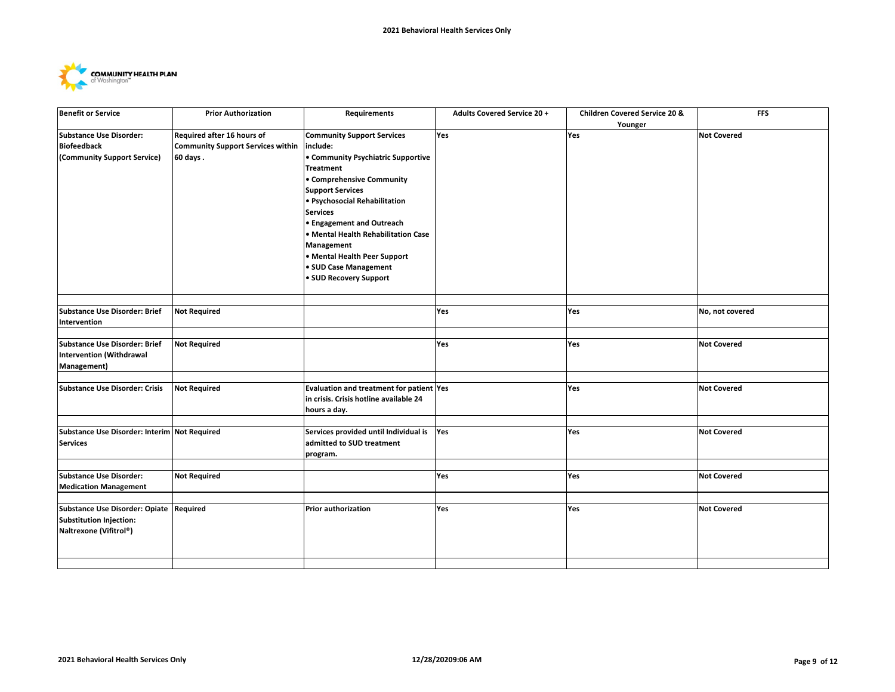

| <b>Benefit or Service</b>                    | <b>Prior Authorization</b>               | <b>Requirements</b>                      | <b>Adults Covered Service 20 +</b> | <b>Children Covered Service 20 &amp;</b> | <b>FFS</b>         |
|----------------------------------------------|------------------------------------------|------------------------------------------|------------------------------------|------------------------------------------|--------------------|
|                                              |                                          |                                          |                                    | Younger                                  |                    |
| <b>Substance Use Disorder:</b>               | Required after 16 hours of               | <b>Community Support Services</b>        | Yes                                | Yes                                      | <b>Not Covered</b> |
| <b>Biofeedback</b>                           | <b>Community Support Services within</b> | include:                                 |                                    |                                          |                    |
| (Community Support Service)                  | 60 days.                                 | • Community Psychiatric Supportive       |                                    |                                          |                    |
|                                              |                                          | <b>Treatment</b>                         |                                    |                                          |                    |
|                                              |                                          | • Comprehensive Community                |                                    |                                          |                    |
|                                              |                                          | <b>Support Services</b>                  |                                    |                                          |                    |
|                                              |                                          | · Psychosocial Rehabilitation            |                                    |                                          |                    |
|                                              |                                          | <b>Services</b>                          |                                    |                                          |                    |
|                                              |                                          | <b>• Engagement and Outreach</b>         |                                    |                                          |                    |
|                                              |                                          | Mental Health Rehabilitation Case        |                                    |                                          |                    |
|                                              |                                          | Management                               |                                    |                                          |                    |
|                                              |                                          | • Mental Health Peer Support             |                                    |                                          |                    |
|                                              |                                          | • SUD Case Management                    |                                    |                                          |                    |
|                                              |                                          | · SUD Recovery Support                   |                                    |                                          |                    |
|                                              |                                          |                                          |                                    |                                          |                    |
|                                              |                                          |                                          |                                    |                                          |                    |
| Substance Use Disorder: Brief                | <b>Not Required</b>                      |                                          | Yes                                | Yes                                      | No, not covered    |
| Intervention                                 |                                          |                                          |                                    |                                          |                    |
|                                              |                                          |                                          |                                    |                                          |                    |
| Substance Use Disorder: Brief                | <b>Not Required</b>                      |                                          | Yes                                | Yes                                      | <b>Not Covered</b> |
| Intervention (Withdrawal                     |                                          |                                          |                                    |                                          |                    |
| Management)                                  |                                          |                                          |                                    |                                          |                    |
|                                              |                                          |                                          |                                    |                                          |                    |
| <b>Substance Use Disorder: Crisis</b>        | <b>Not Required</b>                      | Evaluation and treatment for patient Yes |                                    | Yes                                      | <b>Not Covered</b> |
|                                              |                                          | in crisis. Crisis hotline available 24   |                                    |                                          |                    |
|                                              |                                          | hours a day.                             |                                    |                                          |                    |
| Substance Use Disorder: Interim Not Required |                                          | Services provided until Individual is    | Yes                                | Yes                                      | <b>Not Covered</b> |
|                                              |                                          | admitted to SUD treatment                |                                    |                                          |                    |
| <b>Services</b>                              |                                          |                                          |                                    |                                          |                    |
|                                              |                                          | program.                                 |                                    |                                          |                    |
| Substance Use Disorder:                      | <b>Not Required</b>                      |                                          | <b>Yes</b>                         | Yes                                      | <b>Not Covered</b> |
| <b>Medication Management</b>                 |                                          |                                          |                                    |                                          |                    |
|                                              |                                          |                                          |                                    |                                          |                    |
| Substance Use Disorder: Opiate Required      |                                          | <b>Prior authorization</b>               | Yes                                | Yes                                      | <b>Not Covered</b> |
| Substitution Injection:                      |                                          |                                          |                                    |                                          |                    |
| Naltrexone (Vifitrol®)                       |                                          |                                          |                                    |                                          |                    |
|                                              |                                          |                                          |                                    |                                          |                    |
|                                              |                                          |                                          |                                    |                                          |                    |
|                                              |                                          |                                          |                                    |                                          |                    |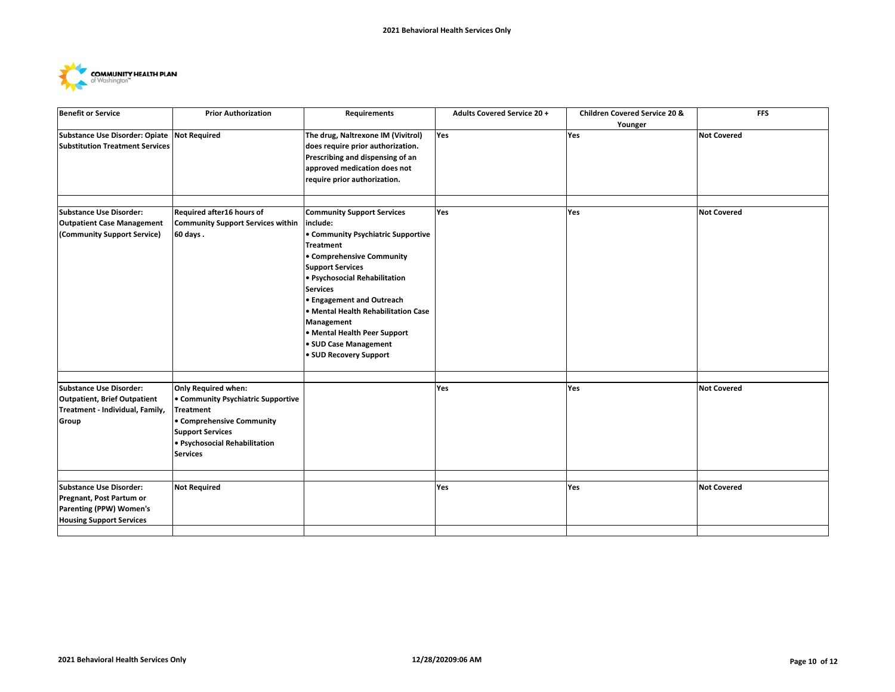

| <b>Benefit or Service</b>                                                                                                | <b>Prior Authorization</b>                                                                                                                                         | Requirements                                                                                                                                                                                                                                                                                                                                               | <b>Adults Covered Service 20 +</b> | Children Covered Service 20 & | <b>FFS</b>         |
|--------------------------------------------------------------------------------------------------------------------------|--------------------------------------------------------------------------------------------------------------------------------------------------------------------|------------------------------------------------------------------------------------------------------------------------------------------------------------------------------------------------------------------------------------------------------------------------------------------------------------------------------------------------------------|------------------------------------|-------------------------------|--------------------|
| Substance Use Disorder: Opiate Not Required<br><b>Substitution Treatment Services</b>                                    |                                                                                                                                                                    | The drug, Naltrexone IM (Vivitrol)<br>does require prior authorization.<br>Prescribing and dispensing of an<br>approved medication does not<br>require prior authorization.                                                                                                                                                                                | Yes                                | Younger<br>Yes                | <b>Not Covered</b> |
| <b>Substance Use Disorder:</b>                                                                                           | Required after16 hours of                                                                                                                                          | <b>Community Support Services</b>                                                                                                                                                                                                                                                                                                                          | Yes                                | Yes                           | <b>Not Covered</b> |
| <b>Outpatient Case Management</b><br>(Community Support Service)                                                         | <b>Community Support Services within</b><br>60 days.                                                                                                               | include:<br>• Community Psychiatric Supportive<br><b>Treatment</b><br>• Comprehensive Community<br><b>Support Services</b><br>· Psychosocial Rehabilitation<br><b>Services</b><br><b>• Engagement and Outreach</b><br>· Mental Health Rehabilitation Case<br>Management<br>• Mental Health Peer Support<br>· SUD Case Management<br>• SUD Recovery Support |                                    |                               |                    |
| <b>Substance Use Disorder:</b>                                                                                           | <b>Only Required when:</b>                                                                                                                                         |                                                                                                                                                                                                                                                                                                                                                            | Yes                                | Yes                           | <b>Not Covered</b> |
| <b>Outpatient, Brief Outpatient</b><br>Treatment - Individual, Family,<br>Group                                          | • Community Psychiatric Supportive<br><b>Treatment</b><br>• Comprehensive Community<br><b>Support Services</b><br>· Psychosocial Rehabilitation<br><b>Services</b> |                                                                                                                                                                                                                                                                                                                                                            |                                    |                               |                    |
|                                                                                                                          |                                                                                                                                                                    |                                                                                                                                                                                                                                                                                                                                                            |                                    |                               |                    |
| <b>Substance Use Disorder:</b><br>Pregnant, Post Partum or<br>Parenting (PPW) Women's<br><b>Housing Support Services</b> | <b>Not Required</b>                                                                                                                                                |                                                                                                                                                                                                                                                                                                                                                            | Yes                                | Yes                           | <b>Not Covered</b> |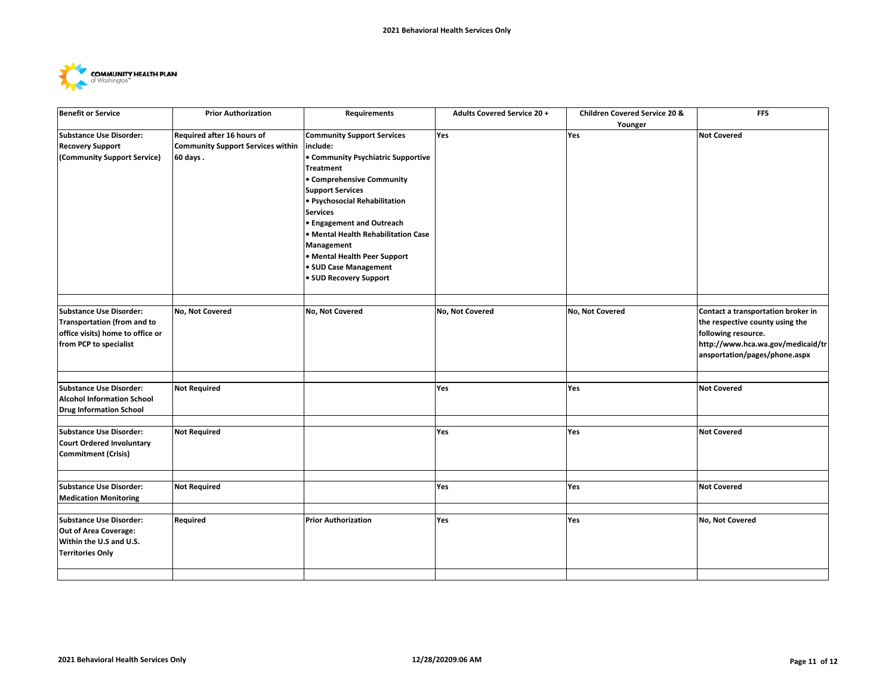

| <b>Benefit or Service</b>          | <b>Prior Authorization</b>               | Requirements                        | <b>Adults Covered Service 20 +</b> | Children Covered Service 20 & | <b>FFS</b>                         |
|------------------------------------|------------------------------------------|-------------------------------------|------------------------------------|-------------------------------|------------------------------------|
|                                    |                                          |                                     |                                    | Younger                       |                                    |
| <b>Substance Use Disorder:</b>     | Required after 16 hours of               | <b>Community Support Services</b>   | <b>Yes</b>                         | Yes                           | <b>Not Covered</b>                 |
| <b>Recovery Support</b>            | <b>Community Support Services within</b> | include:                            |                                    |                               |                                    |
| (Community Support Service)        | 60 days.                                 | • Community Psychiatric Supportive  |                                    |                               |                                    |
|                                    |                                          | <b>Treatment</b>                    |                                    |                               |                                    |
|                                    |                                          | • Comprehensive Community           |                                    |                               |                                    |
|                                    |                                          | <b>Support Services</b>             |                                    |                               |                                    |
|                                    |                                          | · Psychosocial Rehabilitation       |                                    |                               |                                    |
|                                    |                                          | <b>Services</b>                     |                                    |                               |                                    |
|                                    |                                          | <b>• Engagement and Outreach</b>    |                                    |                               |                                    |
|                                    |                                          | • Mental Health Rehabilitation Case |                                    |                               |                                    |
|                                    |                                          | Management                          |                                    |                               |                                    |
|                                    |                                          | • Mental Health Peer Support        |                                    |                               |                                    |
|                                    |                                          | • SUD Case Management               |                                    |                               |                                    |
|                                    |                                          | • SUD Recovery Support              |                                    |                               |                                    |
|                                    |                                          |                                     |                                    |                               |                                    |
|                                    |                                          |                                     |                                    |                               |                                    |
| <b>Substance Use Disorder:</b>     | No, Not Covered                          | No, Not Covered                     | No, Not Covered                    | No, Not Covered               | Contact a transportation broker in |
| <b>Transportation (from and to</b> |                                          |                                     |                                    |                               | the respective county using the    |
| office visits) home to office or   |                                          |                                     |                                    |                               | following resource.                |
| from PCP to specialist             |                                          |                                     |                                    |                               | http://www.hca.wa.gov/medicaid/tr  |
|                                    |                                          |                                     |                                    |                               | ansportation/pages/phone.aspx      |
|                                    |                                          |                                     |                                    |                               |                                    |
|                                    |                                          |                                     |                                    |                               | <b>Not Covered</b>                 |
| <b>Substance Use Disorder:</b>     | <b>Not Required</b>                      |                                     | Yes                                | Yes                           |                                    |
| <b>Alcohol Information School</b>  |                                          |                                     |                                    |                               |                                    |
| <b>Drug Information School</b>     |                                          |                                     |                                    |                               |                                    |
| <b>Substance Use Disorder:</b>     | <b>Not Required</b>                      |                                     | Yes                                | Yes                           | <b>Not Covered</b>                 |
| <b>Court Ordered Involuntary</b>   |                                          |                                     |                                    |                               |                                    |
| Commitment (Crisis)                |                                          |                                     |                                    |                               |                                    |
|                                    |                                          |                                     |                                    |                               |                                    |
|                                    |                                          |                                     |                                    |                               |                                    |
| <b>Substance Use Disorder:</b>     | <b>Not Required</b>                      |                                     | Yes                                | Yes                           | <b>Not Covered</b>                 |
| <b>Medication Monitoring</b>       |                                          |                                     |                                    |                               |                                    |
|                                    |                                          |                                     |                                    |                               |                                    |
| Substance Use Disorder:            | Required                                 | <b>Prior Authorization</b>          | Yes                                | Yes                           | No, Not Covered                    |
| Out of Area Coverage:              |                                          |                                     |                                    |                               |                                    |
| Within the U.S and U.S.            |                                          |                                     |                                    |                               |                                    |
| <b>Territories Only</b>            |                                          |                                     |                                    |                               |                                    |
|                                    |                                          |                                     |                                    |                               |                                    |
|                                    |                                          |                                     |                                    |                               |                                    |